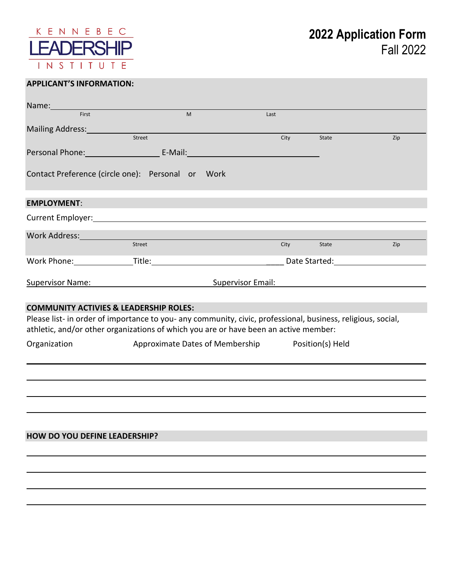

# **APPLICANT'S INFORMATION:**

| Name:                                                                                                          |                                                                                                                      |                                                  |                                                                                                                |     |
|----------------------------------------------------------------------------------------------------------------|----------------------------------------------------------------------------------------------------------------------|--------------------------------------------------|----------------------------------------------------------------------------------------------------------------|-----|
| First                                                                                                          | M                                                                                                                    | Last                                             |                                                                                                                |     |
| Mailing Address: Mailing Address:                                                                              |                                                                                                                      |                                                  |                                                                                                                |     |
|                                                                                                                | Street                                                                                                               | City                                             | State                                                                                                          | Zip |
|                                                                                                                | Personal Phone: Cambridge Land E-Mail: Cambridge Land Phone: Cambridge Land Phone: Cambridge Land Phone: Cambridge L |                                                  |                                                                                                                |     |
|                                                                                                                | Contact Preference (circle one): Personal or Work                                                                    |                                                  |                                                                                                                |     |
| <b>EMPLOYMENT:</b>                                                                                             |                                                                                                                      |                                                  |                                                                                                                |     |
|                                                                                                                |                                                                                                                      |                                                  |                                                                                                                |     |
| Work Address: North Marian Marian Maria Maria Maria Maria Maria Maria Maria Maria Maria Maria Maria Maria Mari |                                                                                                                      |                                                  |                                                                                                                |     |
|                                                                                                                | Street                                                                                                               | City                                             | State                                                                                                          | Zip |
|                                                                                                                |                                                                                                                      |                                                  | Date Started: The State of the State of the Start of the State of the State of the State of the State of the S |     |
|                                                                                                                |                                                                                                                      |                                                  |                                                                                                                |     |
|                                                                                                                | Supervisor Name: Supervisor Email:                                                                                   |                                                  |                                                                                                                |     |
|                                                                                                                | <b>COMMUNITY ACTIVIES &amp; LEADERSHIP ROLES:</b>                                                                    |                                                  |                                                                                                                |     |
|                                                                                                                | Please list- in order of importance to you- any community, civic, professional, business, religious, social,         |                                                  |                                                                                                                |     |
|                                                                                                                | athletic, and/or other organizations of which you are or have been an active member:                                 |                                                  |                                                                                                                |     |
| Organization                                                                                                   |                                                                                                                      | Approximate Dates of Membership Position(s) Held |                                                                                                                |     |
|                                                                                                                |                                                                                                                      |                                                  |                                                                                                                |     |
|                                                                                                                |                                                                                                                      |                                                  |                                                                                                                |     |
|                                                                                                                |                                                                                                                      |                                                  |                                                                                                                |     |
|                                                                                                                |                                                                                                                      |                                                  |                                                                                                                |     |
|                                                                                                                |                                                                                                                      |                                                  |                                                                                                                |     |
|                                                                                                                |                                                                                                                      |                                                  |                                                                                                                |     |
| <b>HOW DO YOU DEFINE LEADERSHIP?</b>                                                                           |                                                                                                                      |                                                  |                                                                                                                |     |
|                                                                                                                |                                                                                                                      |                                                  |                                                                                                                |     |
|                                                                                                                |                                                                                                                      |                                                  |                                                                                                                |     |
|                                                                                                                |                                                                                                                      |                                                  |                                                                                                                |     |
|                                                                                                                |                                                                                                                      |                                                  |                                                                                                                |     |
|                                                                                                                |                                                                                                                      |                                                  |                                                                                                                |     |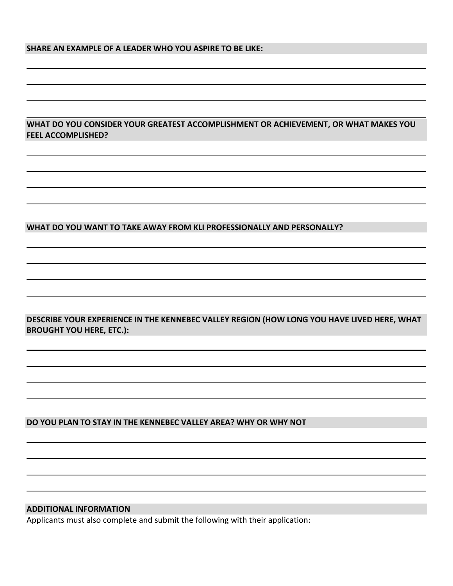### **SHARE AN EXAMPLE OF A LEADER WHO YOU ASPIRE TO BE LIKE:**

**WHAT DO YOU CONSIDER YOUR GREATEST ACCOMPLISHMENT OR ACHIEVEMENT, OR WHAT MAKES YOU FEEL ACCOMPLISHED?**

### **WHAT DO YOU WANT TO TAKE AWAY FROM KLI PROFESSIONALLY AND PERSONALLY?**

**DESCRIBE YOUR EXPERIENCE IN THE KENNEBEC VALLEY REGION (HOW LONG YOU HAVE LIVED HERE, WHAT BROUGHT YOU HERE, ETC.):**

#### **DO YOU PLAN TO STAY IN THE KENNEBEC VALLEY AREA? WHY OR WHY NOT**

## **ADDITIONAL INFORMATION**

Applicants must also complete and submit the following with their application: